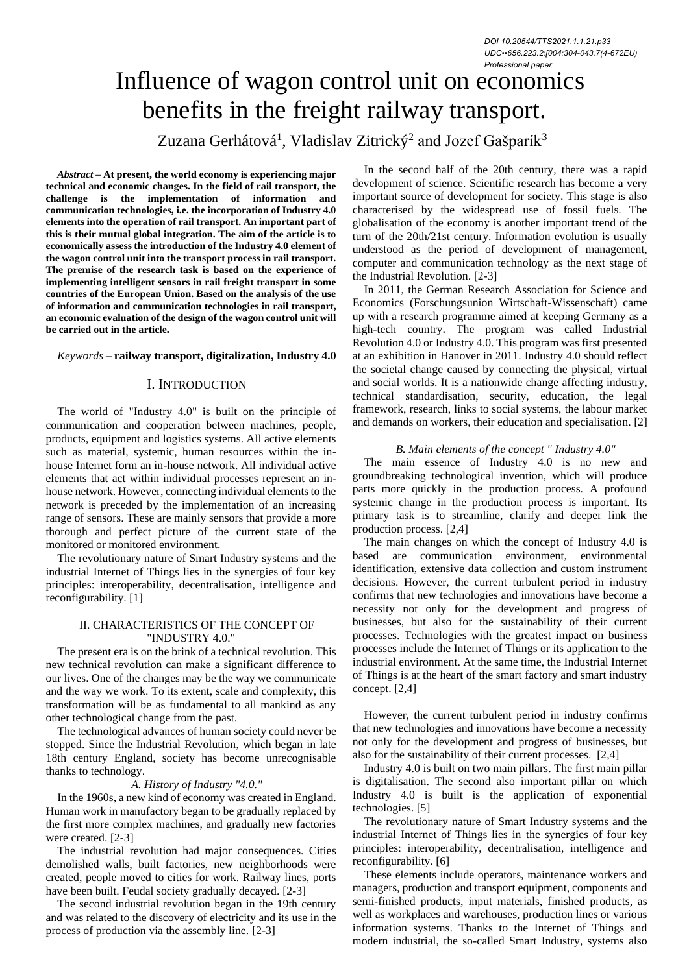# Influence of wagon control unit on economics benefits in the freight railway transport.

Zuzana Gerhátová $^{\rm l}$ , Vladislav Zitrický $^{\rm 2}$  and Jozef Gašparík $^{\rm 3}$ 

*Abstract –* **At present, the world economy is experiencing major technical and economic changes. In the field of rail transport, the challenge is the implementation of information and communication technologies, i.e. the incorporation of Industry 4.0 elements into the operation of rail transport. An important part of this is their mutual global integration. The aim of the article is to economically assess the introduction of the Industry 4.0 element of the wagon control unit into the transport process in rail transport. The premise of the research task is based on the experience of implementing intelligent sensors in rail freight transport in some countries of the European Union. Based on the analysis of the use of information and communication technologies in rail transport, an economic evaluation of the design of the wagon control unit will be carried out in the article.**

# *Keywords –* **railway transport, digitalization, Industry 4.0**

# I. INTRODUCTION

The world of "Industry 4.0" is built on the principle of communication and cooperation between machines, people, products, equipment and logistics systems. All active elements such as material, systemic, human resources within the inhouse Internet form an in-house network. All individual active elements that act within individual processes represent an inhouse network. However, connecting individual elements to the network is preceded by the implementation of an increasing range of sensors. These are mainly sensors that provide a more thorough and perfect picture of the current state of the monitored or monitored environment.

The revolutionary nature of Smart Industry systems and the industrial Internet of Things lies in the synergies of four key principles: interoperability, decentralisation, intelligence and reconfigurability. [1]

## II. CHARACTERISTICS OF THE CONCEPT OF "INDUSTRY 4.0."

The present era is on the brink of a technical revolution. This new technical revolution can make a significant difference to our lives. One of the changes may be the way we communicate and the way we work. To its extent, scale and complexity, this transformation will be as fundamental to all mankind as any other technological change from the past.

The technological advances of human society could never be stopped. Since the Industrial Revolution, which began in late 18th century England, society has become unrecognisable thanks to technology.

## *A. History of Industry "4.0."*

In the 1960s, a new kind of economy was created in England. Human work in manufactory began to be gradually replaced by the first more complex machines, and gradually new factories were created. [2-3]

The industrial revolution had major consequences. Cities demolished walls, built factories, new neighborhoods were created, people moved to cities for work. Railway lines, ports have been built. Feudal society gradually decayed. [2-3]

The second industrial revolution began in the 19th century and was related to the discovery of electricity and its use in the process of production via the assembly line. [2-3]

In the second half of the 20th century, there was a rapid development of science. Scientific research has become a very important source of development for society. This stage is also characterised by the widespread use of fossil fuels. The globalisation of the economy is another important trend of the turn of the 20th/21st century. Information evolution is usually understood as the period of development of management, computer and communication technology as the next stage of the Industrial Revolution. [2-3]

In 2011, the German Research Association for Science and Economics (Forschungsunion Wirtschaft-Wissenschaft) came up with a research programme aimed at keeping Germany as a high-tech country. The program was called Industrial Revolution 4.0 or Industry 4.0. This program was first presented at an exhibition in Hanover in 2011. Industry 4.0 should reflect the societal change caused by connecting the physical, virtual and social worlds. It is a nationwide change affecting industry, technical standardisation, security, education, the legal framework, research, links to social systems, the labour market and demands on workers, their education and specialisation. [2]

#### *B. Main elements of the concept " Industry 4.0"*

The main essence of Industry 4.0 is no new and groundbreaking technological invention, which will produce parts more quickly in the production process. A profound systemic change in the production process is important. Its primary task is to streamline, clarify and deeper link the production process. [2,4]

The main changes on which the concept of Industry 4.0 is based are communication environment, environmental identification, extensive data collection and custom instrument decisions. However, the current turbulent period in industry confirms that new technologies and innovations have become a necessity not only for the development and progress of businesses, but also for the sustainability of their current processes. Technologies with the greatest impact on business processes include the Internet of Things or its application to the industrial environment. At the same time, the Industrial Internet of Things is at the heart of the smart factory and smart industry concept. [2,4]

However, the current turbulent period in industry confirms that new technologies and innovations have become a necessity not only for the development and progress of businesses, but also for the sustainability of their current processes. [2,4]

Industry 4.0 is built on two main pillars. The first main pillar is digitalisation. The second also important pillar on which Industry 4.0 is built is the application of exponential technologies. [5]

The revolutionary nature of Smart Industry systems and the industrial Internet of Things lies in the synergies of four key principles: interoperability, decentralisation, intelligence and reconfigurability. [6]

These elements include operators, maintenance workers and managers, production and transport equipment, components and semi-finished products, input materials, finished products, as well as workplaces and warehouses, production lines or various information systems. Thanks to the Internet of Things and modern industrial, the so-called Smart Industry, systems also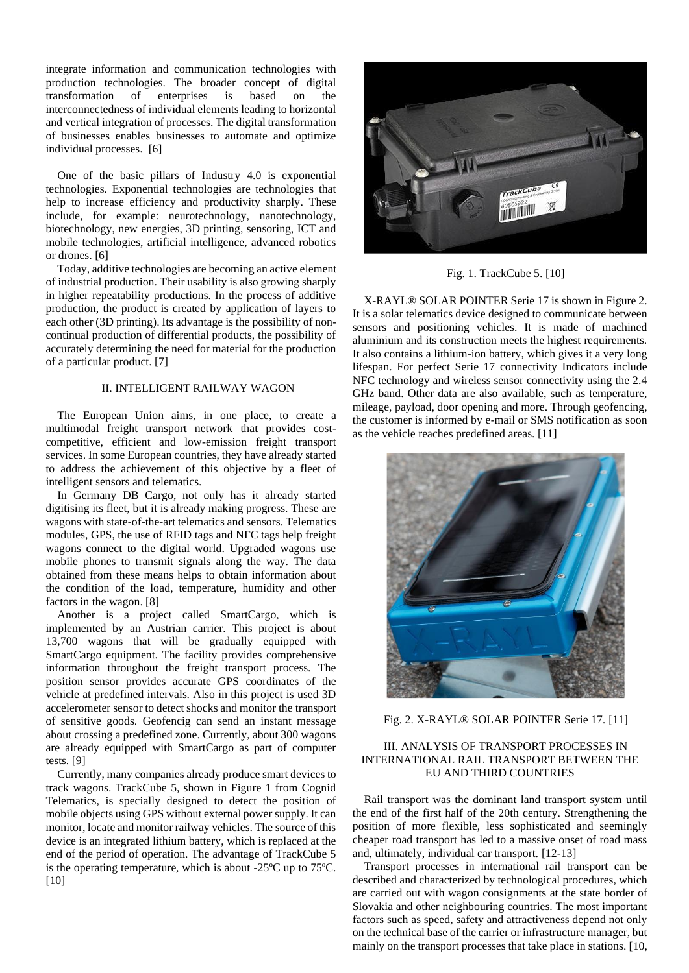integrate information and communication technologies with production technologies. The broader concept of digital transformation of enterprises is based on the interconnectedness of individual elements leading to horizontal and vertical integration of processes. The digital transformation of businesses enables businesses to automate and optimize individual processes. [6]

One of the basic pillars of Industry 4.0 is exponential technologies. Exponential technologies are technologies that help to increase efficiency and productivity sharply. These include, for example: neurotechnology, nanotechnology, biotechnology, new energies, 3D printing, sensoring, ICT and mobile technologies, artificial intelligence, advanced robotics or drones. [6]

Today, additive technologies are becoming an active element of industrial production. Their usability is also growing sharply in higher repeatability productions. In the process of additive production, the product is created by application of layers to each other (3D printing). Its advantage is the possibility of noncontinual production of differential products, the possibility of accurately determining the need for material for the production of a particular product. [7]

# II. INTELLIGENT RAILWAY WAGON

The European Union aims, in one place, to create a multimodal freight transport network that provides costcompetitive, efficient and low-emission freight transport services. In some European countries, they have already started to address the achievement of this objective by a fleet of intelligent sensors and telematics.

In Germany DB Cargo, not only has it already started digitising its fleet, but it is already making progress. These are wagons with state-of-the-art telematics and sensors. Telematics modules, GPS, the use of RFID tags and NFC tags help freight wagons connect to the digital world. Upgraded wagons use mobile phones to transmit signals along the way. The data obtained from these means helps to obtain information about the condition of the load, temperature, humidity and other factors in the wagon. [8]

Another is a project called SmartCargo, which is implemented by an Austrian carrier. This project is about 13,700 wagons that will be gradually equipped with SmartCargo equipment. The facility provides comprehensive information throughout the freight transport process. The position sensor provides accurate GPS coordinates of the vehicle at predefined intervals. Also in this project is used 3D accelerometer sensor to detect shocks and monitor the transport of sensitive goods. Geofencig can send an instant message about crossing a predefined zone. Currently, about 300 wagons are already equipped with SmartCargo as part of computer tests. [9]

Currently, many companies already produce smart devices to track wagons. TrackCube 5, shown in Figure 1 from Cognid Telematics, is specially designed to detect the position of mobile objects using GPS without external power supply. It can monitor, locate and monitor railway vehicles. The source of this device is an integrated lithium battery, which is replaced at the end of the period of operation. The advantage of TrackCube 5 is the operating temperature, which is about -25ºC up to 75ºC. [10]



Fig. 1. TrackCube 5. [10]

X-RAYL® SOLAR POINTER Serie 17 is shown in Figure 2. It is a solar telematics device designed to communicate between sensors and positioning vehicles. It is made of machined aluminium and its construction meets the highest requirements. It also contains a lithium-ion battery, which gives it a very long lifespan. For perfect Serie 17 connectivity Indicators include NFC technology and wireless sensor connectivity using the 2.4 GHz band. Other data are also available, such as temperature, mileage, payload, door opening and more. Through geofencing, the customer is informed by e-mail or SMS notification as soon as the vehicle reaches predefined areas. [11]



Fig. 2. X-RAYL® SOLAR POINTER Serie 17*.* [11]

# III. ANALYSIS OF TRANSPORT PROCESSES IN INTERNATIONAL RAIL TRANSPORT BETWEEN THE EU AND THIRD COUNTRIES

Rail transport was the dominant land transport system until the end of the first half of the 20th century. Strengthening the position of more flexible, less sophisticated and seemingly cheaper road transport has led to a massive onset of road mass and, ultimately, individual car transport. [12-13]

Transport processes in international rail transport can be described and characterized by technological procedures, which are carried out with wagon consignments at the state border of Slovakia and other neighbouring countries. The most important factors such as speed, safety and attractiveness depend not only on the technical base of the carrier or infrastructure manager, but mainly on the transport processes that take place in stations. [10,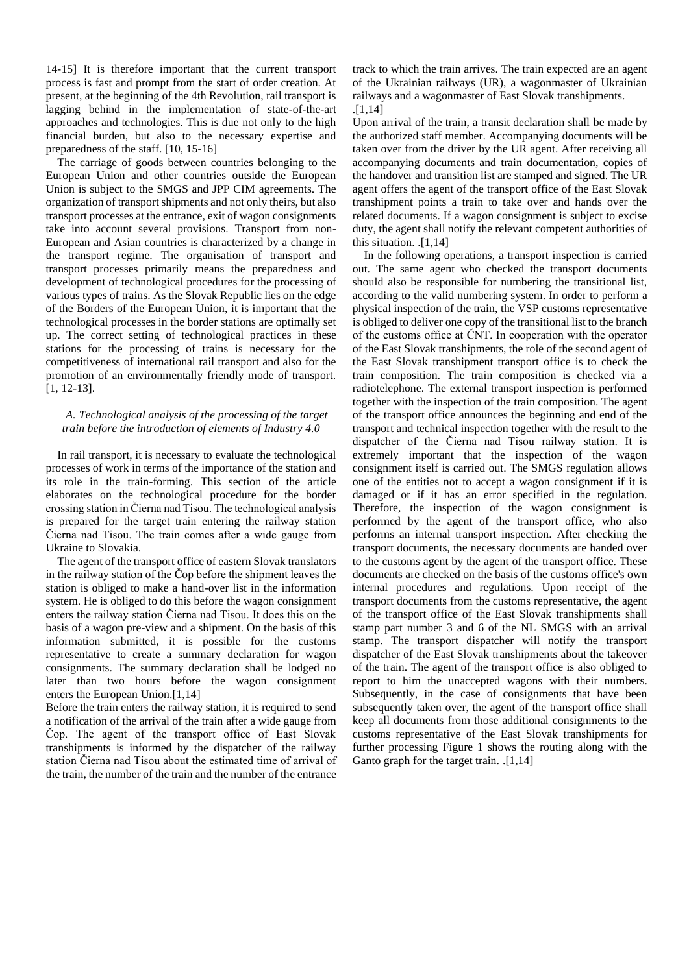14-15] It is therefore important that the current transport process is fast and prompt from the start of order creation. At present, at the beginning of the 4th Revolution, rail transport is lagging behind in the implementation of state-of-the-art approaches and technologies. This is due not only to the high financial burden, but also to the necessary expertise and preparedness of the staff. [10, 15-16]

The carriage of goods between countries belonging to the European Union and other countries outside the European Union is subject to the SMGS and JPP CIM agreements. The organization of transport shipments and not only theirs, but also transport processes at the entrance, exit of wagon consignments take into account several provisions. Transport from non-European and Asian countries is characterized by a change in the transport regime. The organisation of transport and transport processes primarily means the preparedness and development of technological procedures for the processing of various types of trains. As the Slovak Republic lies on the edge of the Borders of the European Union, it is important that the technological processes in the border stations are optimally set up. The correct setting of technological practices in these stations for the processing of trains is necessary for the competitiveness of international rail transport and also for the promotion of an environmentally friendly mode of transport. [1, 12-13].

# *A. Technological analysis of the processing of the target train before the introduction of elements of Industry 4.0*

In rail transport, it is necessary to evaluate the technological processes of work in terms of the importance of the station and its role in the train-forming. This section of the article elaborates on the technological procedure for the border crossing station in Čierna nad Tisou. The technological analysis is prepared for the target train entering the railway station Čierna nad Tisou. The train comes after a wide gauge from Ukraine to Slovakia.

The agent of the transport office of eastern Slovak translators in the railway station of the Čop before the shipment leaves the station is obliged to make a hand-over list in the information system. He is obliged to do this before the wagon consignment enters the railway station Čierna nad Tisou. It does this on the basis of a wagon pre-view and a shipment. On the basis of this information submitted, it is possible for the customs representative to create a summary declaration for wagon consignments. The summary declaration shall be lodged no later than two hours before the wagon consignment enters the European Union.[1,14]

Before the train enters the railway station, it is required to send a notification of the arrival of the train after a wide gauge from Čop. The agent of the transport office of East Slovak transhipments is informed by the dispatcher of the railway station Čierna nad Tisou about the estimated time of arrival of the train, the number of the train and the number of the entrance

track to which the train arrives. The train expected are an agent of the Ukrainian railways (UR), a wagonmaster of Ukrainian railways and a wagonmaster of East Slovak transhipments. .[1,14]

Upon arrival of the train, a transit declaration shall be made by the authorized staff member. Accompanying documents will be taken over from the driver by the UR agent. After receiving all accompanying documents and train documentation, copies of the handover and transition list are stamped and signed. The UR agent offers the agent of the transport office of the East Slovak transhipment points a train to take over and hands over the related documents. If a wagon consignment is subject to excise duty, the agent shall notify the relevant competent authorities of this situation. .[1,14]

In the following operations, a transport inspection is carried out. The same agent who checked the transport documents should also be responsible for numbering the transitional list, according to the valid numbering system. In order to perform a physical inspection of the train, the VSP customs representative is obliged to deliver one copy of the transitional list to the branch of the customs office at ČNT. In cooperation with the operator of the East Slovak transhipments, the role of the second agent of the East Slovak transhipment transport office is to check the train composition. The train composition is checked via a radiotelephone. The external transport inspection is performed together with the inspection of the train composition. The agent of the transport office announces the beginning and end of the transport and technical inspection together with the result to the dispatcher of the Čierna nad Tisou railway station. It is extremely important that the inspection of the wagon consignment itself is carried out. The SMGS regulation allows one of the entities not to accept a wagon consignment if it is damaged or if it has an error specified in the regulation. Therefore, the inspection of the wagon consignment is performed by the agent of the transport office, who also performs an internal transport inspection. After checking the transport documents, the necessary documents are handed over to the customs agent by the agent of the transport office. These documents are checked on the basis of the customs office's own internal procedures and regulations. Upon receipt of the transport documents from the customs representative, the agent of the transport office of the East Slovak transhipments shall stamp part number 3 and 6 of the NL SMGS with an arrival stamp. The transport dispatcher will notify the transport dispatcher of the East Slovak transhipments about the takeover of the train. The agent of the transport office is also obliged to report to him the unaccepted wagons with their numbers. Subsequently, in the case of consignments that have been subsequently taken over, the agent of the transport office shall keep all documents from those additional consignments to the customs representative of the East Slovak transhipments for further processing Figure 1 shows the routing along with the Ganto graph for the target train. .[1,14]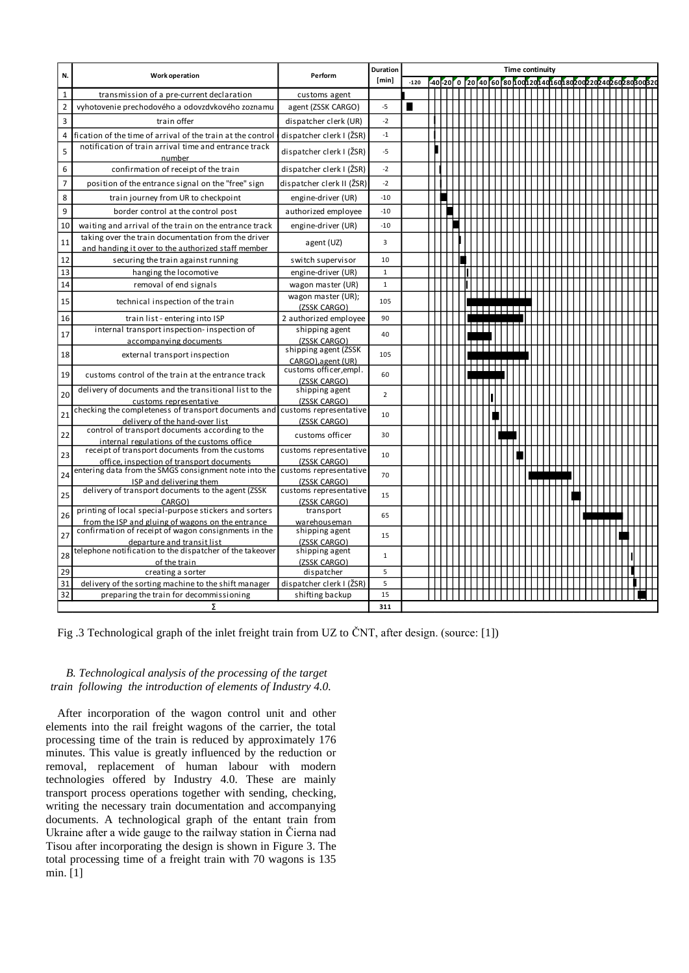|                |                                                                                                           |                                           |                | Duration<br><b>Time continuity</b> |  |  |  |  |  |                                 |  |  |  |                                                                      |  |  |  |  |   |  |  |  |  |  |
|----------------|-----------------------------------------------------------------------------------------------------------|-------------------------------------------|----------------|------------------------------------|--|--|--|--|--|---------------------------------|--|--|--|----------------------------------------------------------------------|--|--|--|--|---|--|--|--|--|--|
| N.             | <b>Work operation</b>                                                                                     | Perform                                   | [min]          | $-120$                             |  |  |  |  |  |                                 |  |  |  | -40 -20 0 20 40 60 80 100 120 140 160 180 200 200 200 260 280 300 32 |  |  |  |  |   |  |  |  |  |  |
| $\mathbf{1}$   | transmission of a pre-current declaration                                                                 | customs agent                             |                |                                    |  |  |  |  |  |                                 |  |  |  |                                                                      |  |  |  |  |   |  |  |  |  |  |
| $\overline{2}$ | vyhotovenie prechodového a odovzdvkového zoznamu                                                          | agent (ZSSK CARGO)                        | $-5$           | ■                                  |  |  |  |  |  |                                 |  |  |  |                                                                      |  |  |  |  |   |  |  |  |  |  |
| 3              | train offer                                                                                               | dispatcher clerk (UR)                     | $-2$           |                                    |  |  |  |  |  |                                 |  |  |  |                                                                      |  |  |  |  |   |  |  |  |  |  |
| 4              | fication of the time of arrival of the train at the control                                               | dispatcher clerk I (ŽSR)                  | $-1$           |                                    |  |  |  |  |  |                                 |  |  |  |                                                                      |  |  |  |  |   |  |  |  |  |  |
|                | notification of train arrival time and entrance track                                                     |                                           |                |                                    |  |  |  |  |  |                                 |  |  |  |                                                                      |  |  |  |  |   |  |  |  |  |  |
| 5              | number                                                                                                    | dispatcher clerk I (ŽSR)                  | $-5$           |                                    |  |  |  |  |  |                                 |  |  |  |                                                                      |  |  |  |  |   |  |  |  |  |  |
| 6              | confirmation of receipt of the train                                                                      | dispatcher clerk I (ŽSR)                  | $-2$           |                                    |  |  |  |  |  |                                 |  |  |  |                                                                      |  |  |  |  |   |  |  |  |  |  |
| $\overline{7}$ | position of the entrance signal on the "free" sign                                                        | dispatcher clerk II (ŽSR)                 | $-2$           |                                    |  |  |  |  |  |                                 |  |  |  |                                                                      |  |  |  |  |   |  |  |  |  |  |
| 8              | train journey from UR to checkpoint                                                                       | engine-driver (UR)                        | $-10$          |                                    |  |  |  |  |  |                                 |  |  |  |                                                                      |  |  |  |  |   |  |  |  |  |  |
| 9              | border control at the control post                                                                        | authorized employee                       | $-10$          |                                    |  |  |  |  |  |                                 |  |  |  |                                                                      |  |  |  |  |   |  |  |  |  |  |
| 10             | waiting and arrival of the train on the entrance track                                                    | engine-driver (UR)                        | $-10$          |                                    |  |  |  |  |  |                                 |  |  |  |                                                                      |  |  |  |  |   |  |  |  |  |  |
| 11             | taking over the train documentation from the driver                                                       |                                           | 3              |                                    |  |  |  |  |  |                                 |  |  |  |                                                                      |  |  |  |  |   |  |  |  |  |  |
|                | and handing it over to the authorized staff member                                                        | agent (UZ)                                |                |                                    |  |  |  |  |  |                                 |  |  |  |                                                                      |  |  |  |  |   |  |  |  |  |  |
| 12             | securing the train against running                                                                        | switch supervisor                         | 10             |                                    |  |  |  |  |  |                                 |  |  |  |                                                                      |  |  |  |  |   |  |  |  |  |  |
| 13             | hanging the locomotive                                                                                    | engine-driver (UR)                        | $\mathbf 1$    |                                    |  |  |  |  |  |                                 |  |  |  |                                                                      |  |  |  |  |   |  |  |  |  |  |
| 14             | removal of end signals                                                                                    | wagon master (UR)                         | $\mathbf{1}$   |                                    |  |  |  |  |  |                                 |  |  |  |                                                                      |  |  |  |  |   |  |  |  |  |  |
| 15             | technical inspection of the train                                                                         | wagon master (UR);                        | 105            |                                    |  |  |  |  |  |                                 |  |  |  |                                                                      |  |  |  |  |   |  |  |  |  |  |
|                |                                                                                                           | (ZSSK CARGO)                              |                |                                    |  |  |  |  |  | <u> 1988 - 1989 - 1989 - 19</u> |  |  |  |                                                                      |  |  |  |  |   |  |  |  |  |  |
| 16             | train list - entering into ISP                                                                            | 2 authorized employee                     | 90             |                                    |  |  |  |  |  |                                 |  |  |  |                                                                      |  |  |  |  |   |  |  |  |  |  |
| 17             | internal transport inspection- inspection of                                                              | shipping agent                            | 40             |                                    |  |  |  |  |  |                                 |  |  |  |                                                                      |  |  |  |  |   |  |  |  |  |  |
|                | accompanying documents                                                                                    | (ZSSK CARGO)                              |                |                                    |  |  |  |  |  |                                 |  |  |  |                                                                      |  |  |  |  |   |  |  |  |  |  |
| 18             | external transport inspection                                                                             | shipping agent (ZSSK<br>CARGO).agent (UR) | 105            |                                    |  |  |  |  |  |                                 |  |  |  |                                                                      |  |  |  |  |   |  |  |  |  |  |
|                |                                                                                                           | customs officer, empl.                    |                |                                    |  |  |  |  |  |                                 |  |  |  |                                                                      |  |  |  |  |   |  |  |  |  |  |
| 19             | customs control of the train at the entrance track                                                        | (ZSSK CARGO)                              | 60             |                                    |  |  |  |  |  |                                 |  |  |  |                                                                      |  |  |  |  |   |  |  |  |  |  |
| 20             | delivery of documents and the transitional list to the                                                    | shipping agent                            | $\overline{2}$ |                                    |  |  |  |  |  |                                 |  |  |  |                                                                      |  |  |  |  |   |  |  |  |  |  |
|                | customs representative                                                                                    | (ZSSK CARGO)                              |                |                                    |  |  |  |  |  |                                 |  |  |  |                                                                      |  |  |  |  |   |  |  |  |  |  |
| 21             | checking the completeness of transport documents and                                                      | customs representative                    | 10             |                                    |  |  |  |  |  |                                 |  |  |  |                                                                      |  |  |  |  |   |  |  |  |  |  |
|                | delivery of the hand-over list<br>control of transport documents according to the                         | (ZSSK CARGO)                              |                |                                    |  |  |  |  |  |                                 |  |  |  |                                                                      |  |  |  |  |   |  |  |  |  |  |
| 22             | internal regulations of the customs office                                                                | customs officer                           | 30             |                                    |  |  |  |  |  |                                 |  |  |  |                                                                      |  |  |  |  |   |  |  |  |  |  |
|                | receipt of transport documents from the customs                                                           | customs representative                    |                |                                    |  |  |  |  |  |                                 |  |  |  |                                                                      |  |  |  |  |   |  |  |  |  |  |
| 23             | office, inspection of transport documents                                                                 | (ZSSK CARGO)                              | 10             |                                    |  |  |  |  |  |                                 |  |  |  |                                                                      |  |  |  |  |   |  |  |  |  |  |
| 24             | entering data from the SMGS consignment note into the                                                     | customs representative                    | 70             |                                    |  |  |  |  |  |                                 |  |  |  |                                                                      |  |  |  |  |   |  |  |  |  |  |
|                | ISP and delivering them                                                                                   | (ZSSK CARGO)                              |                |                                    |  |  |  |  |  |                                 |  |  |  |                                                                      |  |  |  |  |   |  |  |  |  |  |
| 25             | delivery of transport documents to the agent (ZSSK                                                        | customs representative                    | 15             |                                    |  |  |  |  |  |                                 |  |  |  |                                                                      |  |  |  |  |   |  |  |  |  |  |
|                | CARGO)                                                                                                    | (ZSSK CARGO)                              |                |                                    |  |  |  |  |  |                                 |  |  |  |                                                                      |  |  |  |  | . |  |  |  |  |  |
| 26             | printing of local special-purpose stickers and sorters                                                    | transport                                 | 65             |                                    |  |  |  |  |  |                                 |  |  |  |                                                                      |  |  |  |  |   |  |  |  |  |  |
|                | from the ISP and gluing of wagons on the entrance<br>confirmation of receipt of wagon consignments in the | warehouseman<br>shipping agent            |                |                                    |  |  |  |  |  |                                 |  |  |  |                                                                      |  |  |  |  |   |  |  |  |  |  |
| 27             | departure and transit list                                                                                | (ZSSK CARGO)                              | 15             |                                    |  |  |  |  |  |                                 |  |  |  |                                                                      |  |  |  |  |   |  |  |  |  |  |
|                | telephone notification to the dispatcher of the takeover                                                  | shipping agent                            |                |                                    |  |  |  |  |  |                                 |  |  |  |                                                                      |  |  |  |  |   |  |  |  |  |  |
| 28             | of the train                                                                                              | (ZSSK CARGO)                              | $\mathbf{1}$   |                                    |  |  |  |  |  |                                 |  |  |  |                                                                      |  |  |  |  |   |  |  |  |  |  |
| 29             | creating a sorter                                                                                         | dispatcher                                | 5              |                                    |  |  |  |  |  |                                 |  |  |  |                                                                      |  |  |  |  |   |  |  |  |  |  |
| 31             | delivery of the sorting machine to the shift manager                                                      | dispatcher clerk I (ŽSR)                  | 5              |                                    |  |  |  |  |  |                                 |  |  |  |                                                                      |  |  |  |  |   |  |  |  |  |  |
| 32             | preparing the train for decommissioning                                                                   | shifting backup                           | 15             |                                    |  |  |  |  |  |                                 |  |  |  |                                                                      |  |  |  |  |   |  |  |  |  |  |
|                | Σ                                                                                                         |                                           | 311            |                                    |  |  |  |  |  |                                 |  |  |  |                                                                      |  |  |  |  |   |  |  |  |  |  |

Fig .3 Technological graph of the inlet freight train from UZ to ČNT, after design. (source: [1])

# *B. Technological analysis of the processing of the target train following the introduction of elements of Industry 4.0.*

After incorporation of the wagon control unit and other elements into the rail freight wagons of the carrier, the total processing time of the train is reduced by approximately 176 minutes. This value is greatly influenced by the reduction or removal, replacement of human labour with modern technologies offered by Industry 4.0. These are mainly transport process operations together with sending, checking, writing the necessary train documentation and accompanying documents. A technological graph of the entant train from Ukraine after a wide gauge to the railway station in Čierna nad Tisou after incorporating the design is shown in Figure 3. The total processing time of a freight train with 70 wagons is 135 min. [1]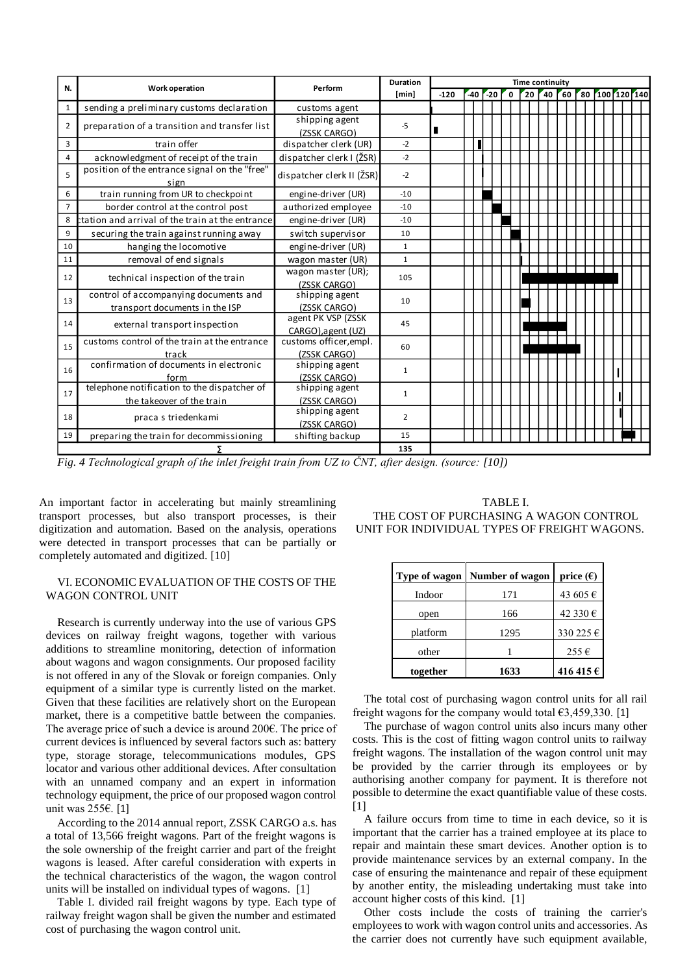| N.             |                                                       | Perform                        | Duration       | <b>Time continuity</b> |       |  |           |  |   |  |  |         |    |  |  |  |  |                |
|----------------|-------------------------------------------------------|--------------------------------|----------------|------------------------|-------|--|-----------|--|---|--|--|---------|----|--|--|--|--|----------------|
|                | <b>Work operation</b>                                 |                                | [min]          | $-120$                 | $-40$ |  | $r_{-20}$ |  | 0 |  |  | $20$ 40 | 60 |  |  |  |  | 80 100 120 140 |
| 1              | sending a preliminary customs declaration             | customs agent                  |                |                        |       |  |           |  |   |  |  |         |    |  |  |  |  |                |
| $\overline{2}$ | preparation of a transition and transfer list         | shipping agent                 | $-5$           |                        |       |  |           |  |   |  |  |         |    |  |  |  |  |                |
|                |                                                       | (ZSSK CARGO)                   |                | п                      |       |  |           |  |   |  |  |         |    |  |  |  |  |                |
| 3              | train offer                                           | dispatcher clerk (UR)          | $-2$           |                        |       |  |           |  |   |  |  |         |    |  |  |  |  |                |
| 4              | acknowledgment of receipt of the train                | dispatcher clerk I (ŽSR)       | $-2$           |                        |       |  |           |  |   |  |  |         |    |  |  |  |  |                |
| 5              | position of the entrance signal on the "free"<br>sign | dispatcher clerk II (ŽSR)      | $-2$           |                        |       |  |           |  |   |  |  |         |    |  |  |  |  |                |
| 6              | train running from UR to checkpoint                   | engine-driver (UR)             | $-10$          |                        |       |  |           |  |   |  |  |         |    |  |  |  |  |                |
| $\overline{7}$ | border control at the control post                    | authorized employee            | $-10$          |                        |       |  |           |  |   |  |  |         |    |  |  |  |  |                |
| 8              | ctation and arrival of the train at the entrance      | engine-driver (UR)             | $-10$          |                        |       |  |           |  |   |  |  |         |    |  |  |  |  |                |
| 9              | securing the train against running away               | switch supervisor              | 10             |                        |       |  |           |  |   |  |  |         |    |  |  |  |  |                |
| 10             | hanging the locomotive                                | engine-driver (UR)             | $\mathbf{1}$   |                        |       |  |           |  |   |  |  |         |    |  |  |  |  |                |
| 11             | removal of end signals                                | wagon master (UR)              | $\mathbf{1}$   |                        |       |  |           |  |   |  |  |         |    |  |  |  |  |                |
| 12             |                                                       | wagon master (UR);             | 105            |                        |       |  |           |  |   |  |  |         |    |  |  |  |  |                |
|                | technical inspection of the train                     | (ZSSK CARGO)                   |                |                        |       |  |           |  |   |  |  |         |    |  |  |  |  |                |
| 13             | control of accompanying documents and                 | shipping agent                 | 10             |                        |       |  |           |  |   |  |  |         |    |  |  |  |  |                |
|                | transport documents in the ISP                        | (ZSSK CARGO)                   |                |                        |       |  |           |  |   |  |  |         |    |  |  |  |  |                |
| 14             | external transport inspection                         | agent PK VSP (ZSSK             | 45             |                        |       |  |           |  |   |  |  |         |    |  |  |  |  |                |
|                |                                                       | CARGO), agent (UZ)             |                |                        |       |  |           |  |   |  |  |         |    |  |  |  |  |                |
| 15             | customs control of the train at the entrance          | customs officer, empl.         | 60             |                        |       |  |           |  |   |  |  |         |    |  |  |  |  |                |
|                | track<br>confirmation of documents in electronic      | (ZSSK CARGO)<br>shipping agent |                |                        |       |  |           |  |   |  |  |         |    |  |  |  |  |                |
| 16             | form                                                  | (ZSSK CARGO)                   | 1              |                        |       |  |           |  |   |  |  |         |    |  |  |  |  |                |
|                | telephone notification to the dispatcher of           | shipping agent                 |                |                        |       |  |           |  |   |  |  |         |    |  |  |  |  |                |
| 17             | the takeover of the train                             | (ZSSK CARGO)                   | $\mathbf{1}$   |                        |       |  |           |  |   |  |  |         |    |  |  |  |  |                |
|                |                                                       | shipping agent                 | $\overline{2}$ |                        |       |  |           |  |   |  |  |         |    |  |  |  |  |                |
| 18             | praca s triedenkami                                   | (ZSSK CARGO)                   |                |                        |       |  |           |  |   |  |  |         |    |  |  |  |  |                |
| 19             | preparing the train for decommissioning               | shifting backup                | 15             |                        |       |  |           |  |   |  |  |         |    |  |  |  |  |                |
|                |                                                       |                                | 135            |                        |       |  |           |  |   |  |  |         |    |  |  |  |  |                |

*Fig. 4 Technological graph of the inlet freight train from UZ to ČNT, after design. (source: [10])*

An important factor in accelerating but mainly streamlining transport processes, but also transport processes, is their digitization and automation. Based on the analysis, operations were detected in transport processes that can be partially or completely automated and digitized. [10]

## VI. ECONOMIC EVALUATION OF THE COSTS OF THE WAGON CONTROL UNIT

Research is currently underway into the use of various GPS devices on railway freight wagons, together with various additions to streamline monitoring, detection of information about wagons and wagon consignments. Our proposed facility is not offered in any of the Slovak or foreign companies. Only equipment of a similar type is currently listed on the market. Given that these facilities are relatively short on the European market, there is a competitive battle between the companies. The average price of such a device is around 200€. The price of current devices is influenced by several factors such as: battery type, storage storage, telecommunications modules, GPS locator and various other additional devices. After consultation with an unnamed company and an expert in information technology equipment, the price of our proposed wagon control unit was 255€. [1]

According to the 2014 annual report, ZSSK CARGO a.s. has a total of 13,566 freight wagons. Part of the freight wagons is the sole ownership of the freight carrier and part of the freight wagons is leased. After careful consideration with experts in the technical characteristics of the wagon, the wagon control units will be installed on individual types of wagons. [1]

Table I. divided rail freight wagons by type. Each type of railway freight wagon shall be given the number and estimated cost of purchasing the wagon control unit.

TABLE I. THE COST OF PURCHASING A WAGON CONTROL UNIT FOR INDIVIDUAL TYPES OF FREIGHT WAGONS.

|          | <b>Type of wagon</b> Number of wagon | price $(\epsilon)$ |  |  |  |  |  |  |  |
|----------|--------------------------------------|--------------------|--|--|--|--|--|--|--|
| Indoor   | 171                                  | 43 605 €           |  |  |  |  |  |  |  |
| open     | 166                                  | 42 330 €           |  |  |  |  |  |  |  |
| platform | 1295                                 | 330 225 €          |  |  |  |  |  |  |  |
| other    |                                      | 255€               |  |  |  |  |  |  |  |
| together | 1633                                 | 416 415 €          |  |  |  |  |  |  |  |

The total cost of purchasing wagon control units for all rail freight wagons for the company would total  $63,459,330$ . [1]

The purchase of wagon control units also incurs many other costs. This is the cost of fitting wagon control units to railway freight wagons. The installation of the wagon control unit may be provided by the carrier through its employees or by authorising another company for payment. It is therefore not possible to determine the exact quantifiable value of these costs. [1]

A failure occurs from time to time in each device, so it is important that the carrier has a trained employee at its place to repair and maintain these smart devices. Another option is to provide maintenance services by an external company. In the case of ensuring the maintenance and repair of these equipment by another entity, the misleading undertaking must take into account higher costs of this kind. [1]

Other costs include the costs of training the carrier's employees to work with wagon control units and accessories. As the carrier does not currently have such equipment available,